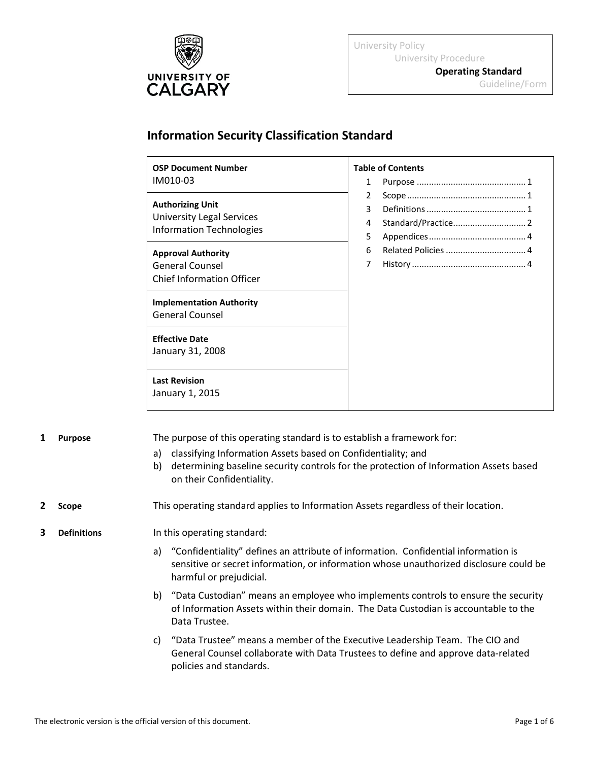

University Policy University Procedure

**Operating Standard** Guideline/Form

## **Information Security Classification Standard**

| <b>OSP Document Number</b><br>IM010-03                                                  | <b>Table of Contents</b><br>$\mathbf{1}$ |
|-----------------------------------------------------------------------------------------|------------------------------------------|
| <b>Authorizing Unit</b><br><b>University Legal Services</b><br>Information Technologies | 2<br>3<br>4<br>5                         |
| <b>Approval Authority</b><br><b>General Counsel</b><br><b>Chief Information Officer</b> | 6<br>$\overline{7}$                      |
| <b>Implementation Authority</b><br><b>General Counsel</b>                               |                                          |
| <b>Effective Date</b><br>January 31, 2008                                               |                                          |
| <b>Last Revision</b><br>January 1, 2015                                                 |                                          |

<span id="page-0-0"></span>**1 Purpose** The purpose of this operating standard is to establish a framework for:

- a) classifying Information Assets based on Confidentiality; and
- b) determining baseline security controls for the protection of Information Assets based on their Confidentiality.

### <span id="page-0-1"></span>**2 Scope** This operating standard applies to Information Assets regardless of their location.

#### <span id="page-0-2"></span>**3 Definitions** In this operating standard:

- a) "Confidentiality" defines an attribute of information. Confidential information is sensitive or secret information, or information whose unauthorized disclosure could be harmful or prejudicial.
- b) "Data Custodian" means an employee who implements controls to ensure the security of Information Assets within their domain. The Data Custodian is accountable to the Data Trustee.
- c) "Data Trustee" means a member of the Executive Leadership Team. The CIO and General Counsel collaborate with Data Trustees to define and approve data-related policies and standards.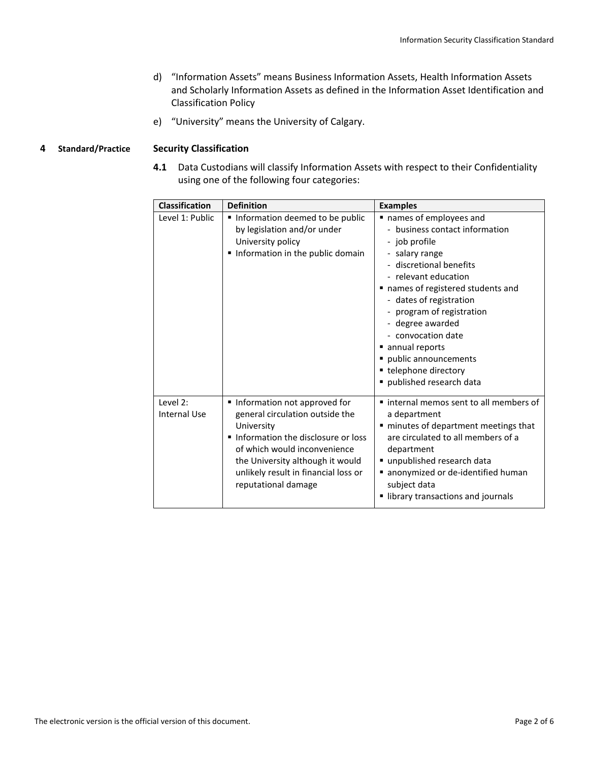- d) "Information Assets" means Business Information Assets, Health Information Assets and Scholarly Information Assets as defined in the Information Asset Identification and Classification Policy
- e) "University" means the University of Calgary.

#### <span id="page-1-0"></span>**4 Standard/Practice Security Classification**

**4.1** Data Custodians will classify Information Assets with respect to their Confidentiality using one of the following four categories:

| <b>Classification</b>           | <b>Definition</b>                                                                                                                                                                                                                                      | <b>Examples</b>                                                                                                                                                                                                                                                                                                                                                                    |
|---------------------------------|--------------------------------------------------------------------------------------------------------------------------------------------------------------------------------------------------------------------------------------------------------|------------------------------------------------------------------------------------------------------------------------------------------------------------------------------------------------------------------------------------------------------------------------------------------------------------------------------------------------------------------------------------|
| Level 1: Public                 | Information deemed to be public<br>by legislation and/or under<br>University policy<br>Information in the public domain                                                                                                                                | names of employees and<br>- business contact information<br>- job profile<br>- salary range<br>- discretional benefits<br>- relevant education<br>names of registered students and<br>- dates of registration<br>- program of registration<br>- degree awarded<br>- convocation date<br>annual reports<br>public announcements<br>• telephone directory<br>published research data |
| Level 2:<br><b>Internal Use</b> | Information not approved for<br>general circulation outside the<br>University<br>Information the disclosure or loss<br>of which would inconvenience<br>the University although it would<br>unlikely result in financial loss or<br>reputational damage | ■ internal memos sent to all members of<br>a department<br>" minutes of department meetings that<br>are circulated to all members of a<br>department<br>unpublished research data<br>anonymized or de-identified human<br>subject data<br>library transactions and journals                                                                                                        |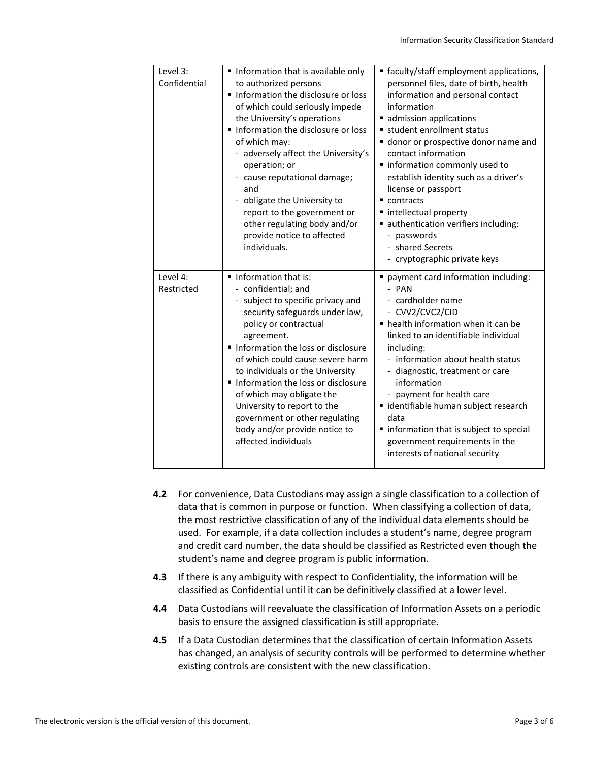| Level 3:<br>Confidential | Information that is available only<br>to authorized persons<br>Information the disclosure or loss<br>of which could seriously impede<br>the University's operations<br>Information the disclosure or loss<br>of which may:<br>- adversely affect the University's<br>operation; or<br>- cause reputational damage;<br>and<br>- obligate the University to<br>report to the government or<br>other regulating body and/or<br>provide notice to affected<br>individuals. | ■ faculty/staff employment applications,<br>personnel files, date of birth, health<br>information and personal contact<br>information<br>admission applications<br>student enrollment status<br>donor or prospective donor name and<br>contact information<br>" information commonly used to<br>establish identity such as a driver's<br>license or passport<br>$\blacksquare$ contracts<br>■ intellectual property<br>authentication verifiers including:<br>- passwords<br>- shared Secrets<br>- cryptographic private keys |
|--------------------------|------------------------------------------------------------------------------------------------------------------------------------------------------------------------------------------------------------------------------------------------------------------------------------------------------------------------------------------------------------------------------------------------------------------------------------------------------------------------|-------------------------------------------------------------------------------------------------------------------------------------------------------------------------------------------------------------------------------------------------------------------------------------------------------------------------------------------------------------------------------------------------------------------------------------------------------------------------------------------------------------------------------|
| Level 4:<br>Restricted   | Information that is:<br>- confidential; and<br>- subject to specific privacy and<br>security safeguards under law,<br>policy or contractual<br>agreement.<br>Information the loss or disclosure<br>of which could cause severe harm<br>to individuals or the University<br>Information the loss or disclosure<br>of which may obligate the<br>University to report to the<br>government or other regulating<br>body and/or provide notice to<br>affected individuals   | payment card information including:<br>- PAN<br>- cardholder name<br>- CVV2/CVC2/CID<br>• health information when it can be<br>linked to an identifiable individual<br>including:<br>- information about health status<br>- diagnostic, treatment or care<br>information<br>- payment for health care<br>■ identifiable human subject research<br>data<br>" information that is subject to special<br>government requirements in the<br>interests of national security                                                        |

- **4.2** For convenience, Data Custodians may assign a single classification to a collection of data that is common in purpose or function. When classifying a collection of data, the most restrictive classification of any of the individual data elements should be used. For example, if a data collection includes a student's name, degree program and credit card number, the data should be classified as Restricted even though the student's name and degree program is public information.
- **4.3** If there is any ambiguity with respect to Confidentiality, the information will be classified as Confidential until it can be definitively classified at a lower level.
- **4.4** Data Custodians will reevaluate the classification of Information Assets on a periodic basis to ensure the assigned classification is still appropriate.
- **4.5** If a Data Custodian determines that the classification of certain Information Assets has changed, an analysis of security controls will be performed to determine whether existing controls are consistent with the new classification.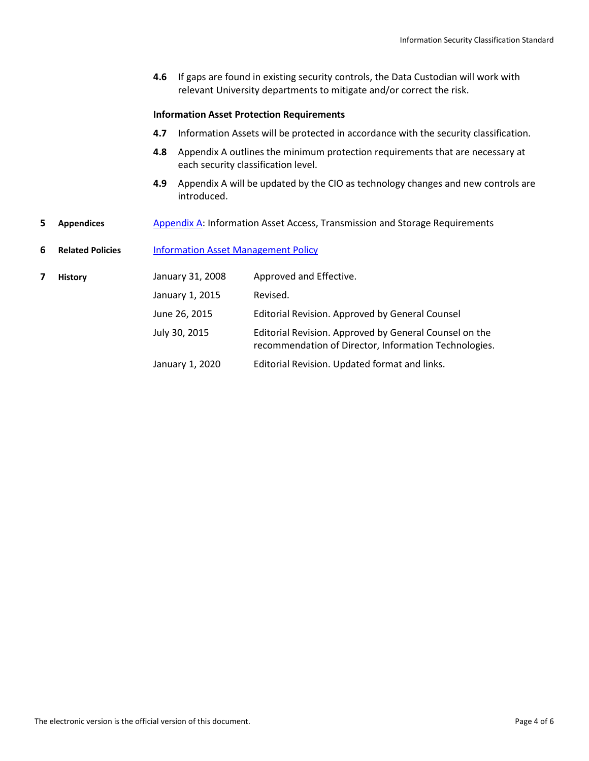**4.6** If gaps are found in existing security controls, the Data Custodian will work with relevant University departments to mitigate and/or correct the risk.

#### **Information Asset Protection Requirements**

- **4.7** Information Assets will be protected in accordance with the security classification.
- **4.8** Appendix A outlines the minimum protection requirements that are necessary at each security classification level.
- **4.9** Appendix A will be updated by the CIO as technology changes and new controls are introduced.
- <span id="page-3-0"></span>**5 Appendices** [Appendix A: Information Asset Access, Transmission and Storage Requirements](#page-4-0)

<span id="page-3-1"></span>**6 Related Policies** [Information Asset Management Policy](https://www.ucalgary.ca/legal-services/university-policies-procedures/information-asset-management-policy)

<span id="page-3-2"></span>

| <b>History</b> | January 31, 2008 | Approved and Effective.                                                                                         |
|----------------|------------------|-----------------------------------------------------------------------------------------------------------------|
|                | January 1, 2015  | Revised.                                                                                                        |
|                | June 26, 2015    | Editorial Revision. Approved by General Counsel                                                                 |
|                | July 30, 2015    | Editorial Revision. Approved by General Counsel on the<br>recommendation of Director, Information Technologies. |
|                | January 1, 2020  | Editorial Revision. Updated format and links.                                                                   |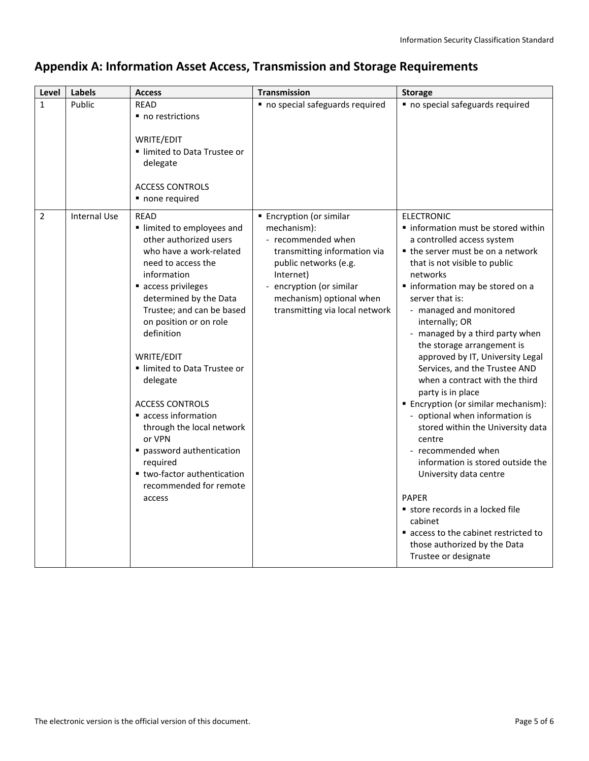# <span id="page-4-0"></span>**Appendix A: Information Asset Access, Transmission and Storage Requirements**

| Level          | <b>Labels</b>       | <b>Access</b>                                                                                                                                                                                                                                                                                                                                                                                                                                                                                                | <b>Transmission</b>                                                                                                                                                                                                         | <b>Storage</b>                                                                                                                                                                                                                                                                                                                                                                                                                                                                                                                                                                                                                                                                                                                                                                                                                                      |
|----------------|---------------------|--------------------------------------------------------------------------------------------------------------------------------------------------------------------------------------------------------------------------------------------------------------------------------------------------------------------------------------------------------------------------------------------------------------------------------------------------------------------------------------------------------------|-----------------------------------------------------------------------------------------------------------------------------------------------------------------------------------------------------------------------------|-----------------------------------------------------------------------------------------------------------------------------------------------------------------------------------------------------------------------------------------------------------------------------------------------------------------------------------------------------------------------------------------------------------------------------------------------------------------------------------------------------------------------------------------------------------------------------------------------------------------------------------------------------------------------------------------------------------------------------------------------------------------------------------------------------------------------------------------------------|
| $\mathbf{1}$   | Public              | <b>READ</b><br>no restrictions<br>WRITE/EDIT<br>Imited to Data Trustee or<br>delegate<br><b>ACCESS CONTROLS</b><br>• none required                                                                                                                                                                                                                                                                                                                                                                           | no special safeguards required                                                                                                                                                                                              | no special safeguards required                                                                                                                                                                                                                                                                                                                                                                                                                                                                                                                                                                                                                                                                                                                                                                                                                      |
| $\overline{2}$ | <b>Internal Use</b> | <b>READ</b><br>Imited to employees and<br>other authorized users<br>who have a work-related<br>need to access the<br>information<br>access privileges<br>determined by the Data<br>Trustee; and can be based<br>on position or on role<br>definition<br>WRITE/EDIT<br>Imited to Data Trustee or<br>delegate<br><b>ACCESS CONTROLS</b><br>access information<br>through the local network<br>or VPN<br>password authentication<br>required<br>■ two-factor authentication<br>recommended for remote<br>access | ■ Encryption (or similar<br>mechanism):<br>- recommended when<br>transmitting information via<br>public networks (e.g.<br>Internet)<br>encryption (or similar<br>mechanism) optional when<br>transmitting via local network | <b>ELECTRONIC</b><br>· information must be stored within<br>a controlled access system<br>■ the server must be on a network<br>that is not visible to public<br>networks<br>· information may be stored on a<br>server that is:<br>- managed and monitored<br>internally; OR<br>- managed by a third party when<br>the storage arrangement is<br>approved by IT, University Legal<br>Services, and the Trustee AND<br>when a contract with the third<br>party is in place<br>■ Encryption (or similar mechanism):<br>- optional when information is<br>stored within the University data<br>centre<br>- recommended when<br>information is stored outside the<br>University data centre<br><b>PAPER</b><br>store records in a locked file<br>cabinet<br>access to the cabinet restricted to<br>those authorized by the Data<br>Trustee or designate |